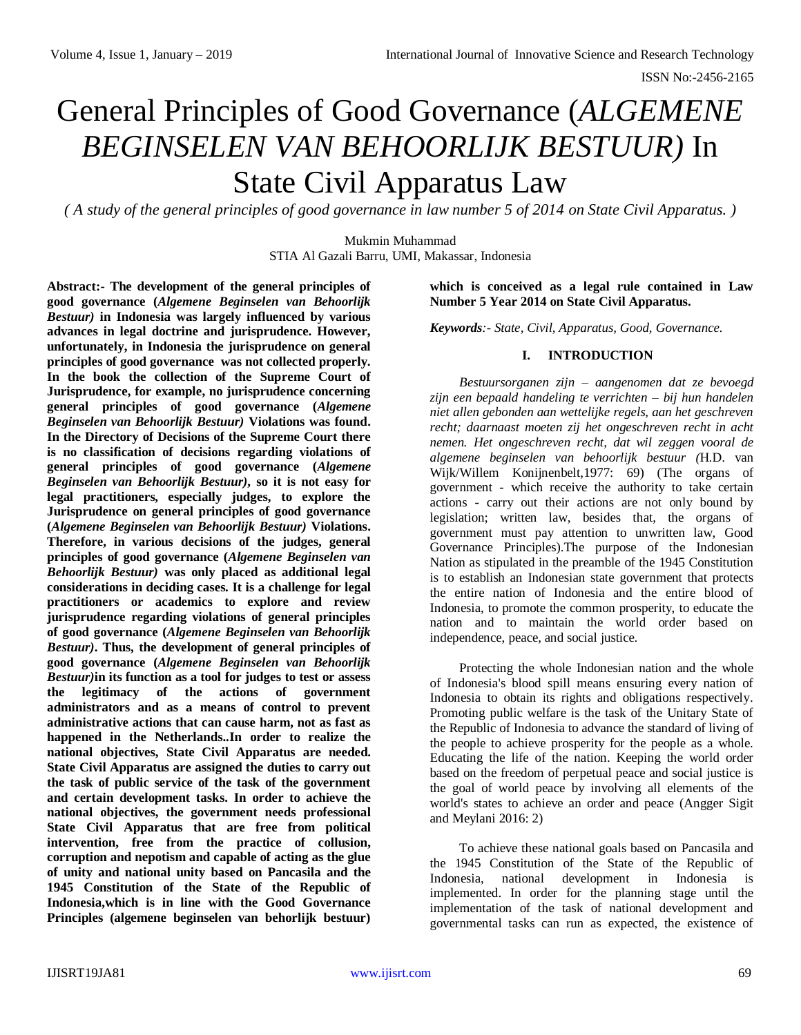# General Principles of Good Governance (*ALGEMENE BEGINSELEN VAN BEHOORLIJK BESTUUR)* In State Civil Apparatus Law

*( A study of the general principles of good governance in law number 5 of 2014 on State Civil Apparatus. )*

Mukmin Muhammad STIA Al Gazali Barru, UMI, Makassar, Indonesia

**Abstract:- The development of the general principles of good governance (***Algemene Beginselen van Behoorlijk Bestuur)* **in Indonesia was largely influenced by various advances in legal doctrine and jurisprudence. However, unfortunately, in Indonesia the jurisprudence on general principles of good governance was not collected properly. In the book the collection of the Supreme Court of Jurisprudence, for example, no jurisprudence concerning general principles of good governance (***Algemene Beginselen van Behoorlijk Bestuur)* **Violations was found. In the Directory of Decisions of the Supreme Court there is no classification of decisions regarding violations of general principles of good governance (***Algemene Beginselen van Behoorlijk Bestuur)***, so it is not easy for legal practitioners, especially judges, to explore the Jurisprudence on general principles of good governance (***Algemene Beginselen van Behoorlijk Bestuur)* **Violations. Therefore, in various decisions of the judges, general principles of good governance (***Algemene Beginselen van Behoorlijk Bestuur)* **was only placed as additional legal considerations in deciding cases. It is a challenge for legal practitioners or academics to explore and review jurisprudence regarding violations of general principles of good governance (***Algemene Beginselen van Behoorlijk Bestuur)***. Thus, the development of general principles of good governance (***Algemene Beginselen van Behoorlijk Bestuur)***in its function as a tool for judges to test or assess the legitimacy of the actions of government administrators and as a means of control to prevent administrative actions that can cause harm, not as fast as happened in the Netherlands..In order to realize the national objectives, State Civil Apparatus are needed. State Civil Apparatus are assigned the duties to carry out the task of public service of the task of the government and certain development tasks. In order to achieve the national objectives, the government needs professional State Civil Apparatus that are free from political intervention, free from the practice of collusion, corruption and nepotism and capable of acting as the glue of unity and national unity based on Pancasila and the 1945 Constitution of the State of the Republic of Indonesia,which is in line with the Good Governance Principles (algemene beginselen van behorlijk bestuur)** 

### **which is conceived as a legal rule contained in Law Number 5 Year 2014 on State Civil Apparatus.**

*Keywords:- State, Civil, Apparatus, Good, Governance.*

### **I. INTRODUCTION**

*Bestuursorganen zijn – aangenomen dat ze bevoegd zijn een bepaald handeling te verrichten – bij hun handelen niet allen gebonden aan wettelijke regels, aan het geschreven recht; daarnaast moeten zij het ongeschreven recht in acht nemen. Het ongeschreven recht, dat wil zeggen vooral de algemene beginselen van behoorlijk bestuur (*H.D. van Wijk/Willem Konijnenbelt,1977: 69) (The organs of government - which receive the authority to take certain actions - carry out their actions are not only bound by legislation; written law, besides that, the organs of government must pay attention to unwritten law, Good Governance Principles).The purpose of the Indonesian Nation as stipulated in the preamble of the 1945 Constitution is to establish an Indonesian state government that protects the entire nation of Indonesia and the entire blood of Indonesia, to promote the common prosperity, to educate the nation and to maintain the world order based on independence, peace, and social justice.

Protecting the whole Indonesian nation and the whole of Indonesia's blood spill means ensuring every nation of Indonesia to obtain its rights and obligations respectively. Promoting public welfare is the task of the Unitary State of the Republic of Indonesia to advance the standard of living of the people to achieve prosperity for the people as a whole. Educating the life of the nation. Keeping the world order based on the freedom of perpetual peace and social justice is the goal of world peace by involving all elements of the world's states to achieve an order and peace (Angger Sigit and Meylani 2016: 2)

To achieve these national goals based on Pancasila and the 1945 Constitution of the State of the Republic of Indonesia, national development in Indonesia is implemented. In order for the planning stage until the implementation of the task of national development and governmental tasks can run as expected, the existence of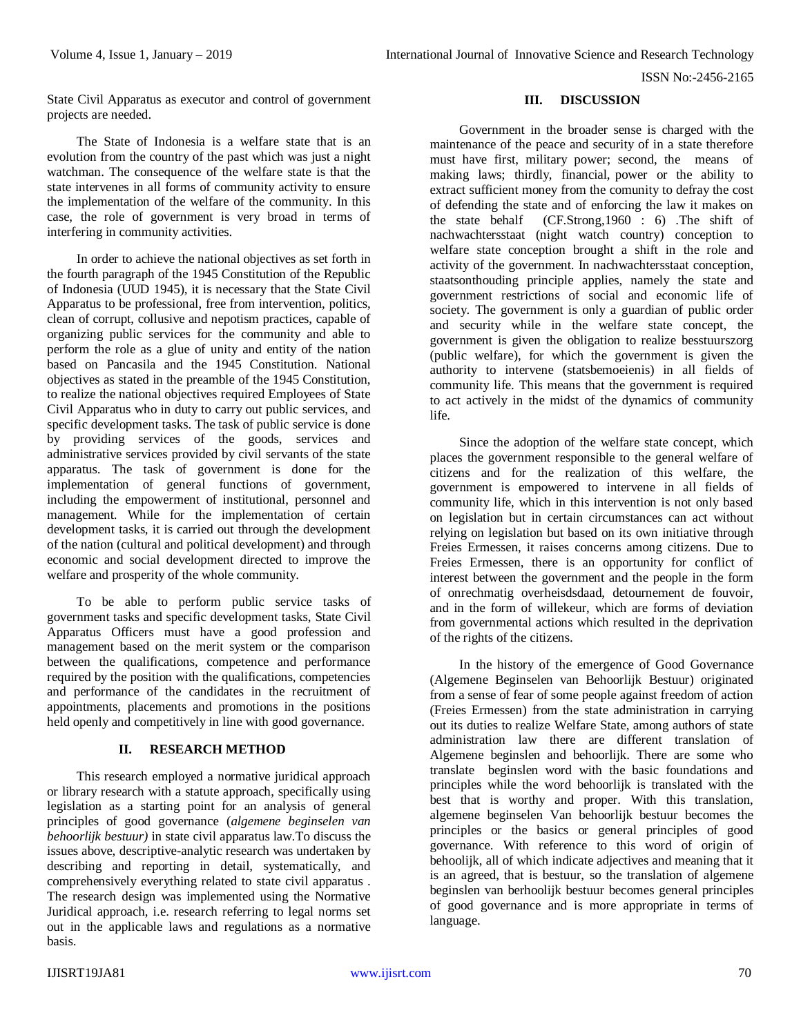ISSN No:-2456-2165

State Civil Apparatus as executor and control of government projects are needed.

The State of Indonesia is a welfare state that is an evolution from the country of the past which was just a night watchman. The consequence of the welfare state is that the state intervenes in all forms of community activity to ensure the implementation of the welfare of the community. In this case, the role of government is very broad in terms of interfering in community activities.

In order to achieve the national objectives as set forth in the fourth paragraph of the 1945 Constitution of the Republic of Indonesia (UUD 1945), it is necessary that the State Civil Apparatus to be professional, free from intervention, politics, clean of corrupt, collusive and nepotism practices, capable of organizing public services for the community and able to perform the role as a glue of unity and entity of the nation based on Pancasila and the 1945 Constitution. National objectives as stated in the preamble of the 1945 Constitution, to realize the national objectives required Employees of State Civil Apparatus who in duty to carry out public services, and specific development tasks. The task of public service is done by providing services of the goods, services and administrative services provided by civil servants of the state apparatus. The task of government is done for the implementation of general functions of government, including the empowerment of institutional, personnel and management. While for the implementation of certain development tasks, it is carried out through the development of the nation (cultural and political development) and through economic and social development directed to improve the welfare and prosperity of the whole community.

To be able to perform public service tasks of government tasks and specific development tasks, State Civil Apparatus Officers must have a good profession and management based on the merit system or the comparison between the qualifications, competence and performance required by the position with the qualifications, competencies and performance of the candidates in the recruitment of appointments, placements and promotions in the positions held openly and competitively in line with good governance.

#### **II. RESEARCH METHOD**

This research employed a normative juridical approach or library research with a statute approach, specifically using legislation as a starting point for an analysis of general principles of good governance (*algemene beginselen van behoorlijk bestuur)* in state civil apparatus law.To discuss the issues above, descriptive-analytic research was undertaken by describing and reporting in detail, systematically, and comprehensively everything related to state civil apparatus . The research design was implemented using the Normative Juridical approach, i.e. research referring to legal norms set out in the applicable laws and regulations as a normative basis.

### **III. DISCUSSION**

Government in the broader sense is charged with the maintenance of the peace and security of in a state therefore must have first, military power; second, the means of making laws; thirdly, financial, power or the ability to extract sufficient money from the comunity to defray the cost of defending the state and of enforcing the law it makes on the state behalf (CF.Strong,1960 : 6) .The shift of nachwachtersstaat (night watch country) conception to welfare state conception brought a shift in the role and activity of the government. In nachwachtersstaat conception, staatsonthouding principle applies, namely the state and government restrictions of social and economic life of society. The government is only a guardian of public order and security while in the welfare state concept, the government is given the obligation to realize besstuurszorg (public welfare), for which the government is given the authority to intervene (statsbemoeienis) in all fields of community life. This means that the government is required to act actively in the midst of the dynamics of community life.

Since the adoption of the welfare state concept, which places the government responsible to the general welfare of citizens and for the realization of this welfare, the government is empowered to intervene in all fields of community life, which in this intervention is not only based on legislation but in certain circumstances can act without relying on legislation but based on its own initiative through Freies Ermessen, it raises concerns among citizens. Due to Freies Ermessen, there is an opportunity for conflict of interest between the government and the people in the form of onrechmatig overheisdsdaad, detournement de fouvoir, and in the form of willekeur, which are forms of deviation from governmental actions which resulted in the deprivation of the rights of the citizens.

In the history of the emergence of Good Governance (Algemene Beginselen van Behoorlijk Bestuur) originated from a sense of fear of some people against freedom of action (Freies Ermessen) from the state administration in carrying out its duties to realize Welfare State, among authors of state administration law there are different translation of Algemene beginslen and behoorlijk. There are some who translate beginslen word with the basic foundations and principles while the word behoorlijk is translated with the best that is worthy and proper. With this translation, algemene beginselen Van behoorlijk bestuur becomes the principles or the basics or general principles of good governance. With reference to this word of origin of behoolijk, all of which indicate adjectives and meaning that it is an agreed, that is bestuur, so the translation of algemene beginslen van berhoolijk bestuur becomes general principles of good governance and is more appropriate in terms of language.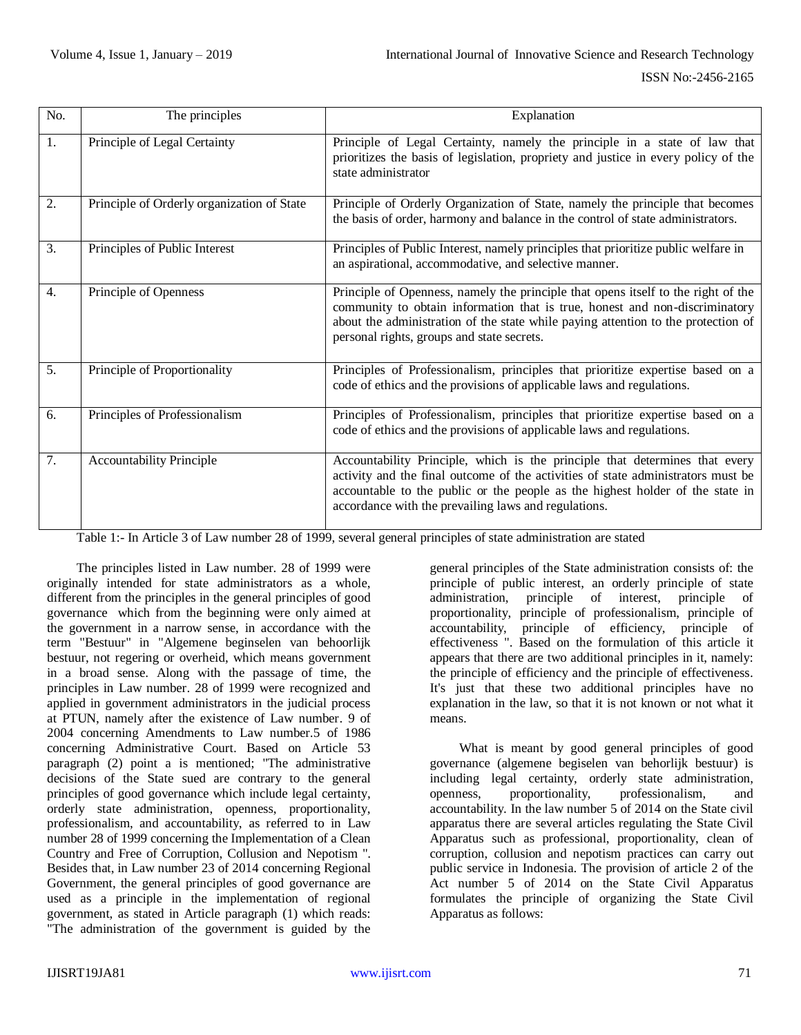| No.              | The principles                             | Explanation                                                                                                                                                                                                                                                                                              |  |  |
|------------------|--------------------------------------------|----------------------------------------------------------------------------------------------------------------------------------------------------------------------------------------------------------------------------------------------------------------------------------------------------------|--|--|
| 1.               | Principle of Legal Certainty               | Principle of Legal Certainty, namely the principle in a state of law that<br>prioritizes the basis of legislation, propriety and justice in every policy of the<br>state administrator                                                                                                                   |  |  |
| 2.               | Principle of Orderly organization of State | Principle of Orderly Organization of State, namely the principle that becomes<br>the basis of order, harmony and balance in the control of state administrators.                                                                                                                                         |  |  |
| 3.               | Principles of Public Interest              | Principles of Public Interest, namely principles that prioritize public welfare in<br>an aspirational, accommodative, and selective manner.                                                                                                                                                              |  |  |
| $\overline{4}$ . | Principle of Openness                      | Principle of Openness, namely the principle that opens itself to the right of the<br>community to obtain information that is true, honest and non-discriminatory<br>about the administration of the state while paying attention to the protection of<br>personal rights, groups and state secrets.      |  |  |
| 5.               | Principle of Proportionality               | Principles of Professionalism, principles that prioritize expertise based on a<br>code of ethics and the provisions of applicable laws and regulations.                                                                                                                                                  |  |  |
| 6.               | Principles of Professionalism              | Principles of Professionalism, principles that prioritize expertise based on a<br>code of ethics and the provisions of applicable laws and regulations.                                                                                                                                                  |  |  |
| 7.               | <b>Accountability Principle</b>            | Accountability Principle, which is the principle that determines that every<br>activity and the final outcome of the activities of state administrators must be<br>accountable to the public or the people as the highest holder of the state in<br>accordance with the prevailing laws and regulations. |  |  |

Table 1:- In Article 3 of Law number 28 of 1999, several general principles of state administration are stated

The principles listed in Law number. 28 of 1999 were originally intended for state administrators as a whole, different from the principles in the general principles of good governance which from the beginning were only aimed at the government in a narrow sense, in accordance with the term "Bestuur" in "Algemene beginselen van behoorlijk bestuur, not regering or overheid, which means government in a broad sense. Along with the passage of time, the principles in Law number. 28 of 1999 were recognized and applied in government administrators in the judicial process at PTUN, namely after the existence of Law number. 9 of 2004 concerning Amendments to Law number.5 of 1986 concerning Administrative Court. Based on Article 53 paragraph (2) point a is mentioned; "The administrative decisions of the State sued are contrary to the general principles of good governance which include legal certainty, orderly state administration, openness, proportionality, professionalism, and accountability, as referred to in Law number 28 of 1999 concerning the Implementation of a Clean Country and Free of Corruption, Collusion and Nepotism ". Besides that, in Law number 23 of 2014 concerning Regional Government, the general principles of good governance are used as a principle in the implementation of regional government, as stated in Article paragraph (1) which reads: "The administration of the government is guided by the general principles of the State administration consists of: the principle of public interest, an orderly principle of state administration, principle of interest, principle of proportionality, principle of professionalism, principle of accountability, principle of efficiency, principle of effectiveness ". Based on the formulation of this article it appears that there are two additional principles in it, namely: the principle of efficiency and the principle of effectiveness. It's just that these two additional principles have no explanation in the law, so that it is not known or not what it means.

What is meant by good general principles of good governance (algemene begiselen van behorlijk bestuur) is including legal certainty, orderly state administration, openness, proportionality, professionalism, and accountability. In the law number 5 of 2014 on the State civil apparatus there are several articles regulating the State Civil Apparatus such as professional, proportionality, clean of corruption, collusion and nepotism practices can carry out public service in Indonesia. The provision of article 2 of the Act number 5 of 2014 on the State Civil Apparatus formulates the principle of organizing the State Civil Apparatus as follows: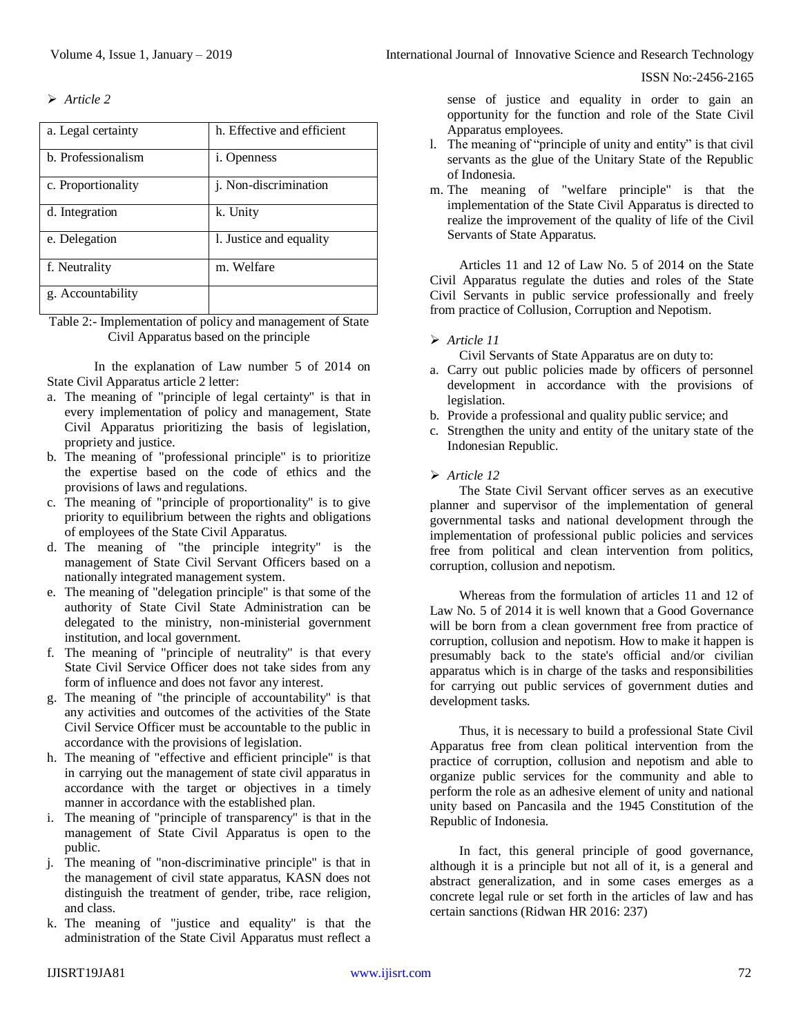ISSN No:-2456-2165

*Article 2*

| a. Legal certainty | h. Effective and efficient |
|--------------------|----------------------------|
| b. Professionalism | <i>i</i> . Openness        |
| c. Proportionality | j. Non-discrimination      |
| d. Integration     | k. Unity                   |
| e. Delegation      | 1. Justice and equality    |
| f. Neutrality      | m. Welfare                 |
| g. Accountability  |                            |

Table 2:- Implementation of policy and management of State Civil Apparatus based on the principle

In the explanation of Law number 5 of 2014 on State Civil Apparatus article 2 letter:

- a. The meaning of "principle of legal certainty" is that in every implementation of policy and management, State Civil Apparatus prioritizing the basis of legislation, propriety and justice.
- b. The meaning of "professional principle" is to prioritize the expertise based on the code of ethics and the provisions of laws and regulations.
- c. The meaning of "principle of proportionality" is to give priority to equilibrium between the rights and obligations of employees of the State Civil Apparatus.
- d. The meaning of "the principle integrity" is the management of State Civil Servant Officers based on a nationally integrated management system.
- e. The meaning of "delegation principle" is that some of the authority of State Civil State Administration can be delegated to the ministry, non-ministerial government institution, and local government.
- f. The meaning of "principle of neutrality" is that every State Civil Service Officer does not take sides from any form of influence and does not favor any interest.
- g. The meaning of "the principle of accountability" is that any activities and outcomes of the activities of the State Civil Service Officer must be accountable to the public in accordance with the provisions of legislation.
- h. The meaning of "effective and efficient principle" is that in carrying out the management of state civil apparatus in accordance with the target or objectives in a timely manner in accordance with the established plan.
- i. The meaning of "principle of transparency" is that in the management of State Civil Apparatus is open to the public.
- j. The meaning of "non-discriminative principle" is that in the management of civil state apparatus, KASN does not distinguish the treatment of gender, tribe, race religion, and class.
- k. The meaning of "justice and equality" is that the administration of the State Civil Apparatus must reflect a

sense of justice and equality in order to gain an opportunity for the function and role of the State Civil Apparatus employees.

- l. The meaning of "principle of unity and entity" is that civil servants as the glue of the Unitary State of the Republic of Indonesia.
- m. The meaning of "welfare principle" is that the implementation of the State Civil Apparatus is directed to realize the improvement of the quality of life of the Civil Servants of State Apparatus.

Articles 11 and 12 of Law No. 5 of 2014 on the State Civil Apparatus regulate the duties and roles of the State Civil Servants in public service professionally and freely from practice of Collusion, Corruption and Nepotism.

## *Article 11*

Civil Servants of State Apparatus are on duty to:

- a. Carry out public policies made by officers of personnel development in accordance with the provisions of legislation.
- b. Provide a professional and quality public service; and
- c. Strengthen the unity and entity of the unitary state of the Indonesian Republic.

# *Article 12*

The State Civil Servant officer serves as an executive planner and supervisor of the implementation of general governmental tasks and national development through the implementation of professional public policies and services free from political and clean intervention from politics, corruption, collusion and nepotism.

Whereas from the formulation of articles 11 and 12 of Law No. 5 of 2014 it is well known that a Good Governance will be born from a clean government free from practice of corruption, collusion and nepotism. How to make it happen is presumably back to the state's official and/or civilian apparatus which is in charge of the tasks and responsibilities for carrying out public services of government duties and development tasks.

Thus, it is necessary to build a professional State Civil Apparatus free from clean political intervention from the practice of corruption, collusion and nepotism and able to organize public services for the community and able to perform the role as an adhesive element of unity and national unity based on Pancasila and the 1945 Constitution of the Republic of Indonesia.

In fact, this general principle of good governance, although it is a principle but not all of it, is a general and abstract generalization, and in some cases emerges as a concrete legal rule or set forth in the articles of law and has certain sanctions (Ridwan HR 2016: 237)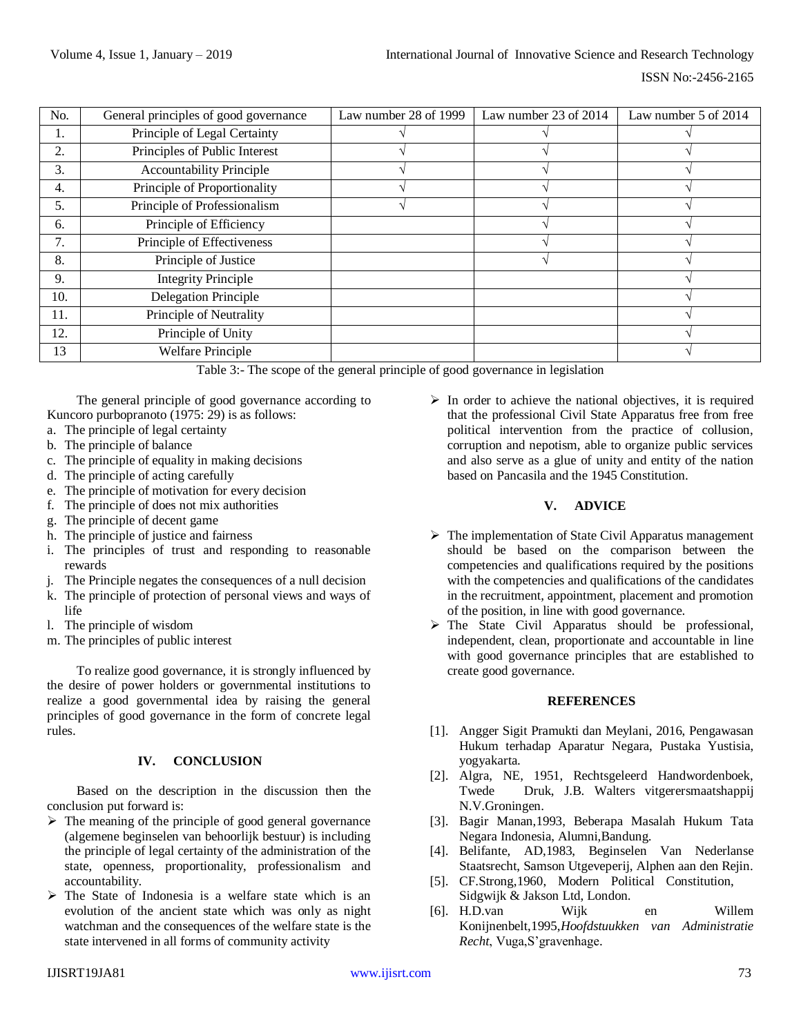| No. | General principles of good governance | Law number 28 of 1999 | Law number 23 of 2014 | Law number 5 of 2014 |
|-----|---------------------------------------|-----------------------|-----------------------|----------------------|
| Ī.  | Principle of Legal Certainty          |                       |                       |                      |
| 2.  | Principles of Public Interest         |                       |                       |                      |
| 3.  | <b>Accountability Principle</b>       |                       |                       |                      |
| 4.  | Principle of Proportionality          |                       |                       |                      |
| 5.  | Principle of Professionalism          |                       |                       |                      |
| 6.  | Principle of Efficiency               |                       |                       |                      |
| 7.  | Principle of Effectiveness            |                       |                       |                      |
| 8.  | Principle of Justice                  |                       |                       |                      |
| 9.  | <b>Integrity Principle</b>            |                       |                       |                      |
| 10. | Delegation Principle                  |                       |                       |                      |
| 11. | Principle of Neutrality               |                       |                       |                      |
| 12. | Principle of Unity                    |                       |                       |                      |
| 13  | <b>Welfare Principle</b>              |                       |                       |                      |

Table 3:- The scope of the general principle of good governance in legislation

The general principle of good governance according to Kuncoro purbopranoto (1975: 29) is as follows:

- a. The principle of legal certainty
- b. The principle of balance
- c. The principle of equality in making decisions
- d. The principle of acting carefully
- e. The principle of motivation for every decision
- f. The principle of does not mix authorities
- g. The principle of decent game
- h. The principle of justice and fairness
- i. The principles of trust and responding to reasonable rewards
- j. The Principle negates the consequences of a null decision
- k. The principle of protection of personal views and ways of life
- l. The principle of wisdom
- m. The principles of public interest

To realize good governance, it is strongly influenced by the desire of power holders or governmental institutions to realize a good governmental idea by raising the general principles of good governance in the form of concrete legal rules.

## **IV. CONCLUSION**

Based on the description in the discussion then the conclusion put forward is:

- $\triangleright$  The meaning of the principle of good general governance (algemene beginselen van behoorlijk bestuur) is including the principle of legal certainty of the administration of the state, openness, proportionality, professionalism and accountability.
- $\triangleright$  The State of Indonesia is a welfare state which is an evolution of the ancient state which was only as night watchman and the consequences of the welfare state is the state intervened in all forms of community activity

 $\triangleright$  In order to achieve the national objectives, it is required that the professional Civil State Apparatus free from free political intervention from the practice of collusion, corruption and nepotism, able to organize public services and also serve as a glue of unity and entity of the nation based on Pancasila and the 1945 Constitution.

## **V. ADVICE**

- $\triangleright$  The implementation of State Civil Apparatus management should be based on the comparison between the competencies and qualifications required by the positions with the competencies and qualifications of the candidates in the recruitment, appointment, placement and promotion of the position, in line with good governance.
- The State Civil Apparatus should be professional, independent, clean, proportionate and accountable in line with good governance principles that are established to create good governance.

## **REFERENCES**

- [1]. Angger Sigit Pramukti dan Meylani, 2016, Pengawasan Hukum terhadap Aparatur Negara, Pustaka Yustisia, yogyakarta.
- [2]. Algra, NE, 1951, Rechtsgeleerd Handwordenboek, Twede Druk, J.B. Walters vitgerersmaatshappij N.V.Groningen.
- [3]. Bagir Manan,1993, Beberapa Masalah Hukum Tata Negara Indonesia, Alumni,Bandung.
- [4]. Belifante, AD,1983, Beginselen Van Nederlanse Staatsrecht, Samson Utgeveperij, Alphen aan den Rejin.
- [5]. CF.Strong,1960, Modern Political Constitution, Sidgwijk & Jakson Ltd, London.
- [6]. H.D.van Wijk en Willem Konijnenbelt,1995,*Hoofdstuukken van Administratie Recht*, Vuga,S'gravenhage.